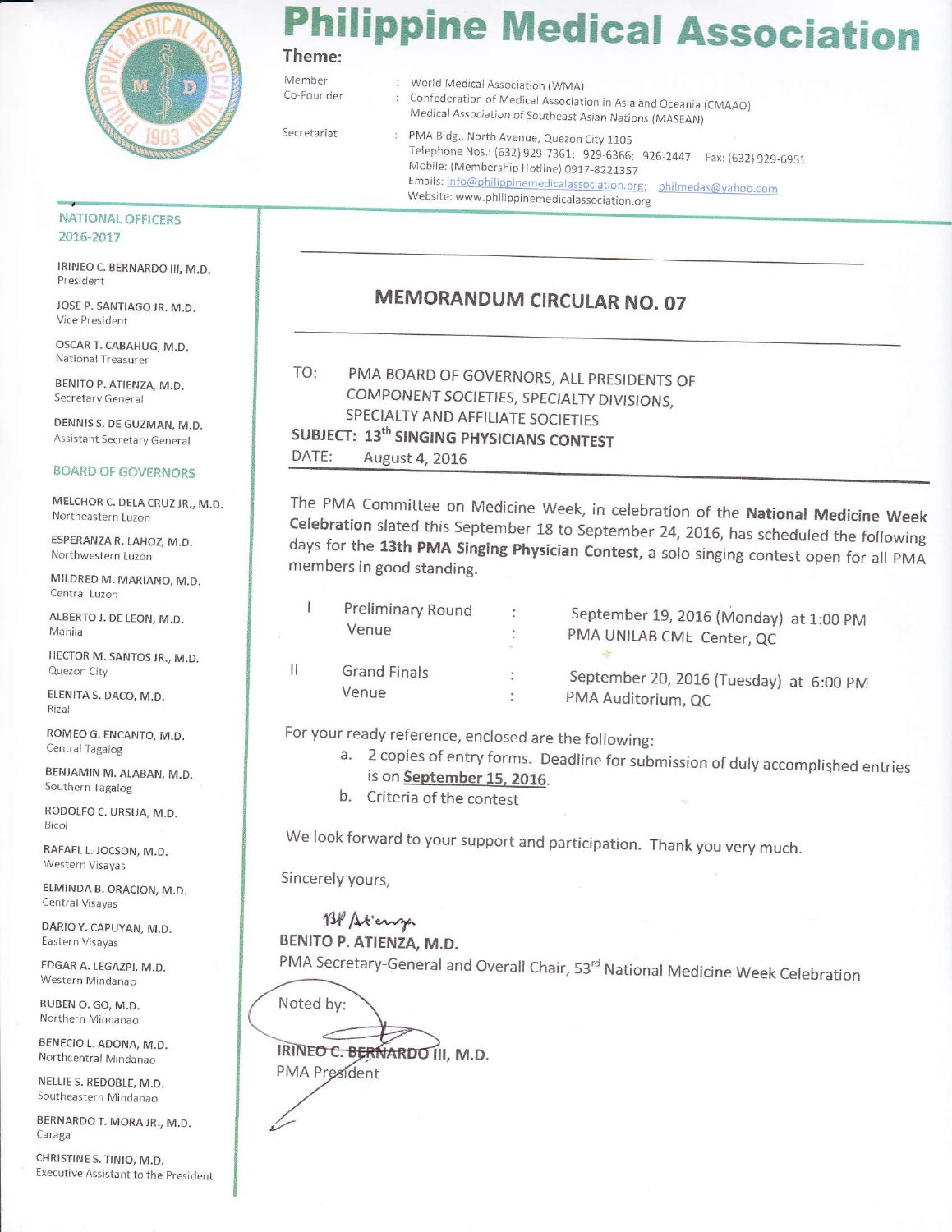

## hilippine Medical Association Theme:

Member

World Medical Association (WMA) Confederation of Medical Association in Asia and Oceania (CMAAO) Medical Association of Southeast Asian Nations (MASEAN)

Secretariat

Co-Founder

: PMA Bldg., North Avenue, Quezon City 1105 Telephone Nos.: (632) 929-7361; 929-6366; 926-2447 Fax: (632) 929-6951 Mobile: (Membership Hotline) 0917-8221357 Emails: info@philippinemedicalassociation.org; philmedas@yahoo.com Website: www.philippinemedicalassociation.org

#### **NATIONAL OFFICERS** 2016-2017

IRINEO C. BERNARDO III, M.D. President

JOSE P. SANTIAGO JR. M.D. Vice President

OSCAR T. CABAHUG, M.D. National Treasurer

BENITO P. ATIENZA, M.D. Secretary General

DENNIS S. DE GUZMAN, M.D. **Assistant Secretary General** 

#### **BOARD OF GOVERNORS**

MELCHOR C. DELA CRUZ JR., M.D. Northeastern Luzon

ESPERANZA R. LAHOZ, M.D. Northwestern Luzon

MILDRED M. MARIANO, M.D. Central Luzon

ALBERTO J. DE LEON, M.D. Manila

HECTOR M. SANTOS JR., M.D. Quezon City

ELENITA S. DACO, M.D. Rizal

ROMEO G. ENCANTO, M.D. Central Tagalog

BENJAMIN M. ALABAN, M.D. Southern Tagalog

RODOLFO C. URSUA, M.D. Bicol

RAFAEL L. JOCSON, M.D. Western Visayas

ELMINDA B. ORACION, M.D. Central Visayas

DARIO Y. CAPUYAN, M.D. Eastern Visayas

EDGAR A. LEGAZPI, M.D. Western Mindanao

RUBEN O. GO, M.D. Northern Mindanao

BENECIO L. ADONA, M.D. Northcentral Mindanao

NELLIE S. REDOBLE, M.D. Southeastern Mindanao

BERNARDO T. MORA JR., M.D. Caraga

CHRISTINE S. TINIO, M.D. Executive Assistant to the President

### MEMORANDUM CIRCULAR NO. 07

PMA BOARD OF GOVERNORS, ALL PRESIDENTS OF TO: COMPONENT SOCIETIES, SPECIALTY DIVISIONS, SPECIALTY AND AFFILIATE SOCIETIES SUBJECT: 13<sup>th</sup> SINGING PHYSICIANS CONTEST DATE: August 4, 2016

The PMA Committee on Medicine Week, in celebration of the National Medicine Week Celebration slated this September 18 to September 24, 2016, has scheduled the following days for the 13th PMA Singing Physician Contest, a solo singing contest open for all PMA members in good standing.

|   | Preliminary Round<br>Venue | $\ddot{\cdot}$ | September 19, 2016 (Monday) at 1:00 PM<br>PMA UNILAB CME Center, QC |
|---|----------------------------|----------------|---------------------------------------------------------------------|
| Ш | <b>Grand Finals</b>        | ÷              | September 20, 2016 (Tuesday) at 6:00 PM                             |
|   | Venue                      | $\ddot{\cdot}$ | PMA Auditorium, QC                                                  |

For your ready reference, enclosed are the following:

- a. 2 copies of entry forms. Deadline for submission of duly accomplished entries is on September 15, 2016.
- b. Criteria of the contest

We look forward to your support and participation. Thank you very much.

Sincerely yours,

BP Atenya BENITO P. ATIENZA, M.D.

PMA Secretary-General and Overall Chair, 53rd National Medicine Week Celebration

Noted by:

IRINEO C. BERNARDO III, M.D. **PMA** President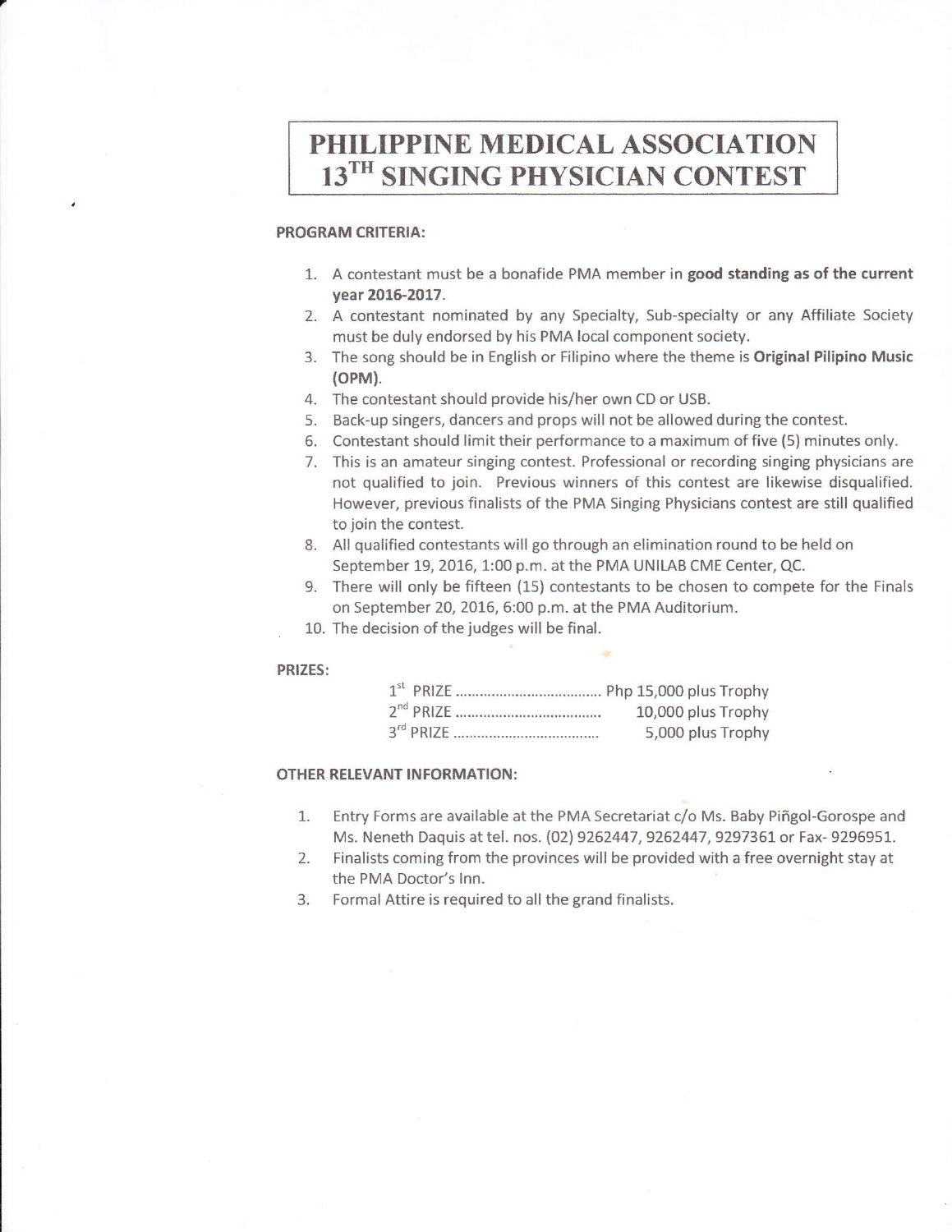# PHILIPPINE MEDICAL ASSOCIATION 13TH SINGING PHYSICIAN CONTEST

#### PROGRAM CRITERIA:

- 1. A contestant must be a bonafide PMA member in good standing as of the current year 2016-2017.
- 2. A contestant nominated by any Specialty, Sub-specialty or any Affiliate Society must be duly endorsed by his PMA local component society.
- 3. The song should be in English or Filipino where the theme is Original Pilipino Music (oPM).
- 4. The contestant should provide his/her own CD or USB.
- 5. Back-up singers, dancers and props will not be allowed during the contest.
- 6. Contestant should limit their performance to a maximum of five (5) minutes only.
- 7. This is an amateur singing contest. Professional or recording singing physicians are not qualified to join. Previous winners of this contest are likewise disqualified. However, previous finalists of the PMA Singing Physicians contest are still qualified to join the contest.
- 8. All qualified contestants will go through an elimination round to be held on september 19, 2016, 1:00 p.m. at the PMA UNILAB CME Center, QC.
- 9. There will only be fifteen (15) contestants to be chosen to compete for the Finals on september 20, 2016, 6:00 p.m. at the PMA Auditorium.
- 10. The decision of the judges will be final.

#### PRIZES:

| 10,000 plus Trophy |
|--------------------|
| 5,000 plus Trophy  |

#### OTHER RELEVANT INFORMATION:

- 1. Entry Forms are available at the PMA Secretariat c/o Ms. Baby Piffgol-Gorospe and Ms. Neneth Daquis at tel. nos. (02) 9262447, 9262447, 9297361 or Fax- 9296951.<br>Finalists coming from the provinces will be provided with a free overnight stay at
- 2. Finalists coming from the provinces will be provided with a free overnight stay at the PMA Doctor's Inn.
- 3. Formal Attire is required to all the grand finalists.